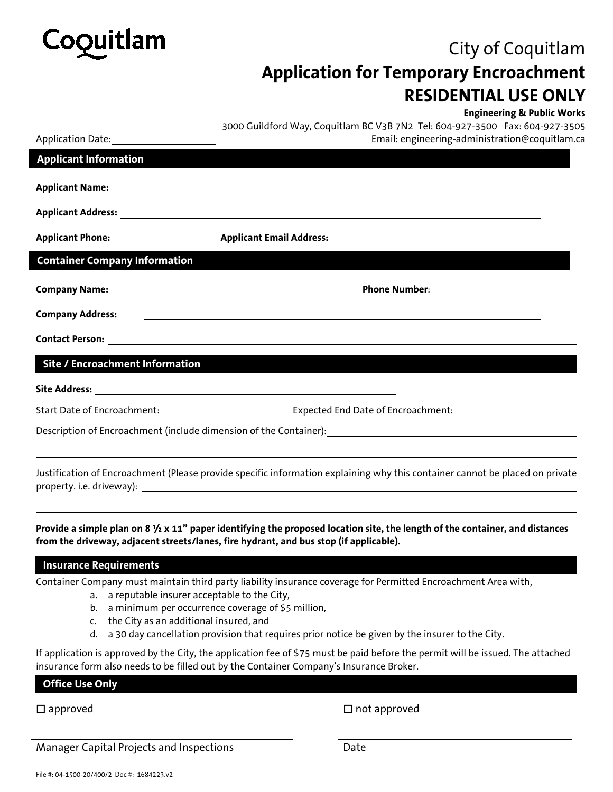

## City of Coquitlam **Application for Temporary Encroachment RESIDENTIAL USE ONLY**

|                                        | <b>Engineering &amp; Public Works</b><br>3000 Guildford Way, Coquitlam BC V3B 7N2 Tel: 604-927-3500 Fax: 604-927-3505                                                                                                                |  |  |  |  |  |  |
|----------------------------------------|--------------------------------------------------------------------------------------------------------------------------------------------------------------------------------------------------------------------------------------|--|--|--|--|--|--|
| Application Date: Application Date:    | Email: engineering-administration@coquitlam.ca                                                                                                                                                                                       |  |  |  |  |  |  |
| <b>Applicant Information</b>           |                                                                                                                                                                                                                                      |  |  |  |  |  |  |
|                                        |                                                                                                                                                                                                                                      |  |  |  |  |  |  |
|                                        |                                                                                                                                                                                                                                      |  |  |  |  |  |  |
|                                        |                                                                                                                                                                                                                                      |  |  |  |  |  |  |
| <b>Container Company Information</b>   |                                                                                                                                                                                                                                      |  |  |  |  |  |  |
|                                        |                                                                                                                                                                                                                                      |  |  |  |  |  |  |
| <b>Company Address:</b>                | <u> 1989 - Johann Harry Harry Harry Harry Harry Harry Harry Harry Harry Harry Harry Harry Harry Harry Harry Harry Harry Harry Harry Harry Harry Harry Harry Harry Harry Harry Harry Harry Harry Harry Harry Harry Harry Harry Ha</u> |  |  |  |  |  |  |
|                                        |                                                                                                                                                                                                                                      |  |  |  |  |  |  |
| <b>Site / Encroachment Information</b> |                                                                                                                                                                                                                                      |  |  |  |  |  |  |
|                                        |                                                                                                                                                                                                                                      |  |  |  |  |  |  |
|                                        |                                                                                                                                                                                                                                      |  |  |  |  |  |  |
|                                        | Description of Encroachment (include dimension of the Container): National Assemblance of Encroachment (include dimension of the Container):                                                                                         |  |  |  |  |  |  |
|                                        | Justification of Encroachment (Please provide specific information explaining why this container cannot be placed on private                                                                                                         |  |  |  |  |  |  |
|                                        |                                                                                                                                                                                                                                      |  |  |  |  |  |  |

**Provide a simple plan on 8 ½ x 11" paper identifying the proposed location site, the length of the container, and distances from the driveway, adjacent streets/lanes, fire hydrant, and bus stop (if applicable).**

## **Insurance Requirements**

Container Company must maintain third party liability insurance coverage for Permitted Encroachment Area with,

- a. a reputable insurer acceptable to the City,
- b. a minimum per occurrence coverage of \$5 million,
- c. the City as an additional insured, and
- d. a 30 day cancellation provision that requires prior notice be given by the insurer to the City.

If application is approved by the City, the application fee of \$75 must be paid before the permit will be issued. The attached insurance form also needs to be filled out by the Container Company's Insurance Broker.

## **Office Use Only**

□ approved strategies and approved approved approved approved approved approved

Manager Capital Projects and Inspections **Example 2** Date